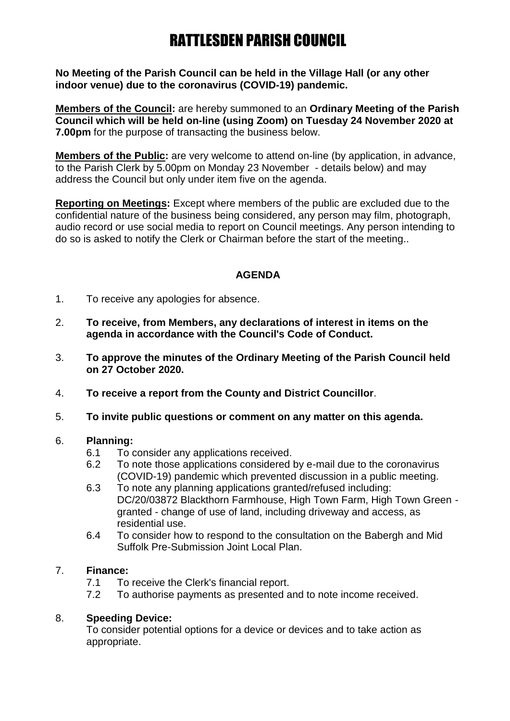**No Meeting of the Parish Council can be held in the Village Hall (or any other indoor venue) due to the coronavirus (COVID-19) pandemic.**

**Members of the Council:** are hereby summoned to an **Ordinary Meeting of the Parish Council which will be held on-line (using Zoom) on Tuesday 24 November 2020 at 7.00pm** for the purpose of transacting the business below.

**Members of the Public:** are very welcome to attend on-line (by application, in advance, to the Parish Clerk by 5.00pm on Monday 23 November - details below) and may address the Council but only under item five on the agenda.

**Reporting on Meetings:** Except where members of the public are excluded due to the confidential nature of the business being considered, any person may film, photograph, audio record or use social media to report on Council meetings. Any person intending to do so is asked to notify the Clerk or Chairman before the start of the meeting..

## **AGENDA**

- 1. To receive any apologies for absence.
- 2. **To receive, from Members, any declarations of interest in items on the agenda in accordance with the Council's Code of Conduct.**
- 3. **To approve the minutes of the Ordinary Meeting of the Parish Council held on 27 October 2020.**
- 4. **To receive a report from the County and District Councillor**.
- 5. **To invite public questions or comment on any matter on this agenda.**

#### 6. **Planning:**

- 6.1 To consider any applications received.
- 6.2 To note those applications considered by e-mail due to the coronavirus (COVID-19) pandemic which prevented discussion in a public meeting.
- 6.3 To note any planning applications granted/refused including: DC/20/03872 Blackthorn Farmhouse, High Town Farm, High Town Green granted - change of use of land, including driveway and access, as residential use.
- 6.4 To consider how to respond to the consultation on the Babergh and Mid Suffolk Pre-Submission Joint Local Plan.

#### 7. **Finance:**

- 7.1 To receive the Clerk's financial report.
- 7.2 To authorise payments as presented and to note income received.

## 8. **Speeding Device:**

To consider potential options for a device or devices and to take action as appropriate.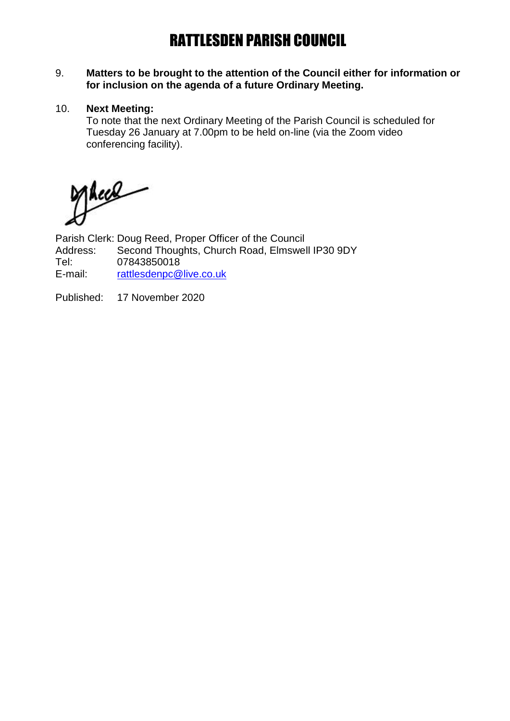#### 9. **Matters to be brought to the attention of the Council either for information or for inclusion on the agenda of a future Ordinary Meeting.**

#### 10. **Next Meeting:**

To note that the next Ordinary Meeting of the Parish Council is scheduled for Tuesday 26 January at 7.00pm to be held on-line (via the Zoom video conferencing facility).

Thees

Parish Clerk: Doug Reed, Proper Officer of the Council Address: Second Thoughts, Church Road, Elmswell IP30 9DY<br>Tel: 07843850018 Tel: 07843850018<br>E-mail: rattlesdenpc@ [rattlesdenpc@live.co.uk](mailto:rattlesdenpc@live.co.uk)

Published: 17 November 2020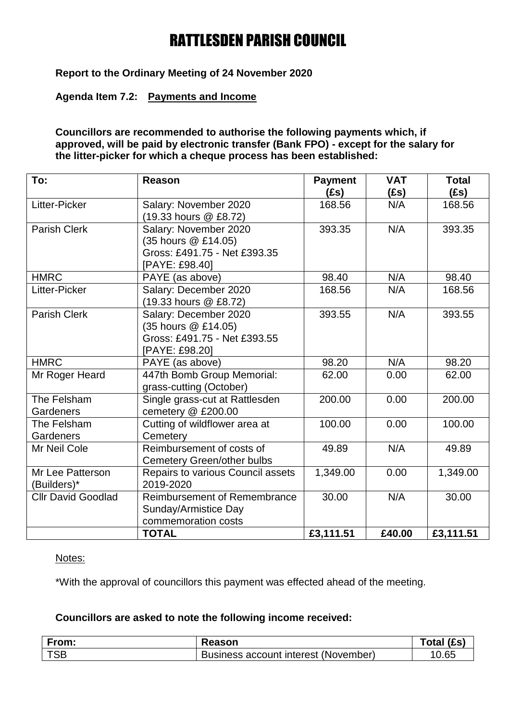**Report to the Ordinary Meeting of 24 November 2020**

### **Agenda Item 7.2: Payments and Income**

#### **Councillors are recommended to authorise the following payments which, if approved, will be paid by electronic transfer (Bank FPO) - except for the salary for the litter-picker for which a cheque process has been established:**

| To:                                    | Reason                                                                                         | <b>Payment</b><br>(£s) | <b>VAT</b><br>(£s) | <b>Total</b><br>(fs) |
|----------------------------------------|------------------------------------------------------------------------------------------------|------------------------|--------------------|----------------------|
| Litter-Picker                          | Salary: November 2020<br>(19.33 hours @ £8.72)                                                 | 168.56                 | N/A                | 168.56               |
| <b>Parish Clerk</b>                    | Salary: November 2020<br>(35 hours @ £14.05)<br>Gross: £491.75 - Net £393.35<br>[PAYE: £98.40] | 393.35                 | N/A                | 393.35               |
| <b>HMRC</b>                            | PAYE (as above)                                                                                | 98.40                  | N/A                | 98.40                |
| Litter-Picker                          | Salary: December 2020<br>(19.33 hours @ £8.72)                                                 | 168.56                 | N/A                | 168.56               |
| Parish Clerk                           | Salary: December 2020<br>(35 hours @ £14.05)<br>Gross: £491.75 - Net £393.55<br>[PAYE: £98.20] | 393.55                 | N/A                | 393.55               |
| <b>HMRC</b>                            | PAYE (as above)                                                                                | 98.20                  | N/A                | 98.20                |
| Mr Roger Heard                         | 447th Bomb Group Memorial:<br>grass-cutting (October)                                          | 62.00                  | 0.00               | 62.00                |
| The Felsham<br>Gardeners               | Single grass-cut at Rattlesden<br>cemetery @ £200.00                                           | 200.00                 | 0.00               | 200.00               |
| The Felsham<br>Gardeners               | Cutting of wildflower area at<br>Cemetery                                                      | 100.00                 | 0.00               | 100.00               |
| Mr Neil Cole                           | Reimbursement of costs of<br>Cemetery Green/other bulbs                                        | 49.89                  | N/A                | 49.89                |
| <b>Mr Lee Patterson</b><br>(Builders)* | Repairs to various Council assets<br>2019-2020                                                 | 1,349.00               | 0.00               | 1,349.00             |
| <b>Cllr David Goodlad</b>              | Reimbursement of Remembrance<br>Sunday/Armistice Day<br>commemoration costs                    | 30.00                  | N/A                | 30.00                |
|                                        | <b>TOTAL</b>                                                                                   | £3,111.51              | £40.00             | £3,111.51            |

#### Notes:

\*With the approval of councillors this payment was effected ahead of the meeting.

## **Councillors are asked to note the following income received:**

| From:      | <b>Reason</b>                        | otal (£s) |
|------------|--------------------------------------|-----------|
| <b>TSB</b> | Business account interest (November) | 0.65      |